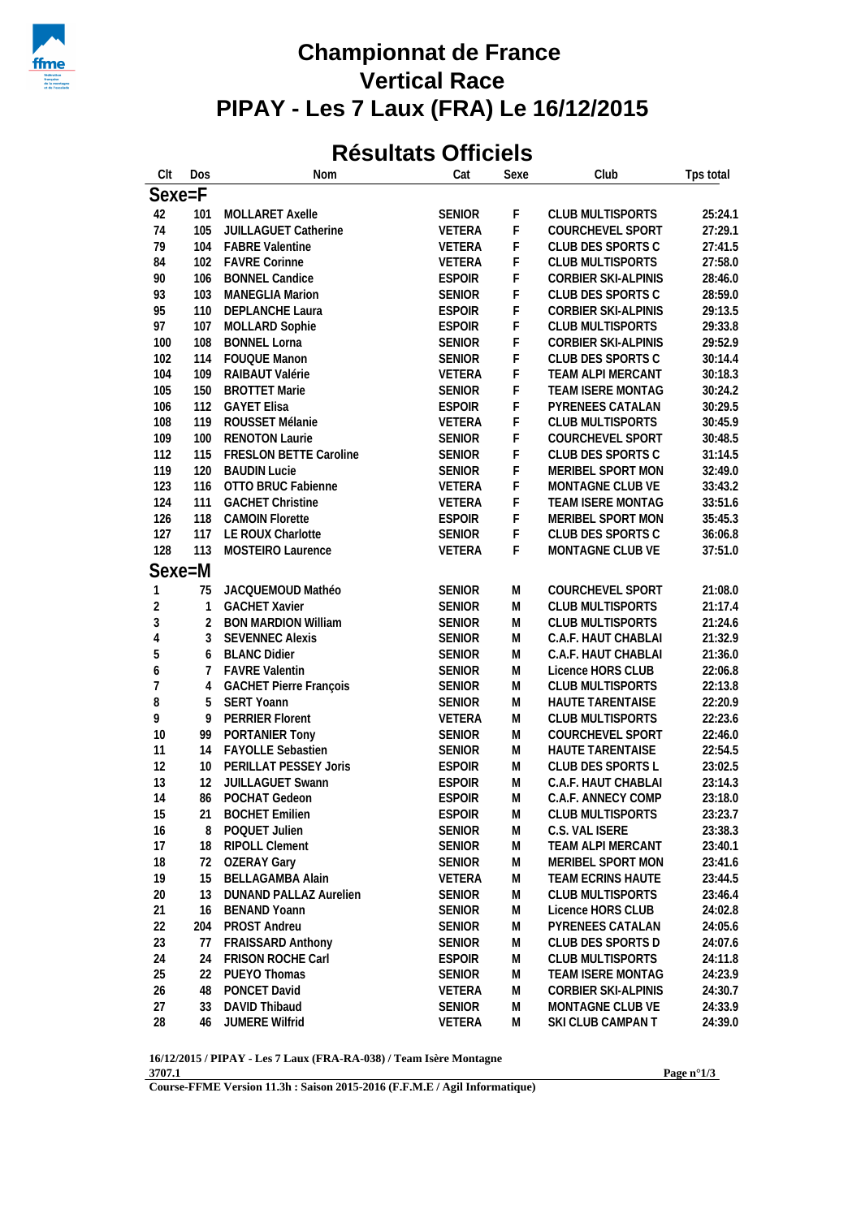

## **Championnat de France Vertical Race PIPAY - Les 7 Laux (FRA) Le 16/12/2015**

## **Résultats Officiels**

| Clt            | Dos | Nom                           | Cat           | Sexe | Club                       | Tps total |
|----------------|-----|-------------------------------|---------------|------|----------------------------|-----------|
| Sexe=F         |     |                               |               |      |                            |           |
| 42             | 101 | MOLLARET Axelle               | SENIOR        | F    | CLUB MULTISPORTS           | 25:24.1   |
| 74             | 105 | JUILLAGUET Catherine          | VETERA        | F    | COURCHEVEL SPORT           | 27:29.1   |
| 79             | 104 | <b>FABRE Valentine</b>        | VETERA        | F    | CLUB DES SPORTS C          | 27:41.5   |
| 84             | 102 | <b>FAVRE Corinne</b>          | VETERA        | F    | <b>CLUB MULTISPORTS</b>    | 27:58.0   |
| 90             | 106 | <b>BONNEL Candice</b>         | <b>ESPOIR</b> | F    | CORBIER SKI-ALPINIS        | 28:46.0   |
| 93             | 103 | MANEGLIA Marion               | <b>SENIOR</b> | F    | CLUB DES SPORTS C          | 28:59.0   |
| 95             | 110 | <b>DEPLANCHE Laura</b>        | <b>ESPOIR</b> | F    | <b>CORBIER SKI-ALPINIS</b> | 29:13.5   |
| 97             |     | 107 MOLLARD Sophie            | <b>ESPOIR</b> | F    | <b>CLUB MULTISPORTS</b>    | 29:33.8   |
| 100            | 108 | <b>BONNEL Lorna</b>           | SENIOR        | F    | CORBIER SKI-ALPINIS        | 29:52.9   |
| 102            | 114 | <b>FOUQUE Manon</b>           | SENIOR        | F    | CLUB DES SPORTS C          | 30:14.4   |
| 104            | 109 | RAIBAUT Valérie               | VETERA        | F    | TEAM ALPI MERCANT          | 30:18.3   |
| 105            | 150 | <b>BROTTET Marie</b>          | SENIOR        | F    | TEAM ISERE MONTAG          | 30:24.2   |
| 106            |     | 112 GAYET Elisa               | <b>ESPOIR</b> | F    | PYRENEES CATALAN           | 30:29.5   |
| 108            | 119 | ROUSSET Mélanie               | VETERA        | F    | <b>CLUB MULTISPORTS</b>    | 30:45.9   |
| 109            | 100 | <b>RENOTON Laurie</b>         | SENIOR        | F    | COURCHEVEL SPORT           | 30:48.5   |
| 112            | 115 | FRESLON BETTE Caroline        | SENIOR        | F    | CLUB DES SPORTS C          | 31:14.5   |
| 119            | 120 | <b>BAUDIN Lucie</b>           | SENIOR        | F    | MERIBEL SPORT MON          | 32:49.0   |
| 123            | 116 | OTTO BRUC Fabienne            | VETERA        | F    | MONTAGNE CLUB VE           | 33:43.2   |
| 124            | 111 | <b>GACHET Christine</b>       | VETERA        | F    | TEAM ISERE MONTAG          | 33:51.6   |
| 126            | 118 | <b>CAMOIN Florette</b>        | <b>ESPOIR</b> | F    | MERIBEL SPORT MON          | 35:45.3   |
| 127            |     | 117 LE ROUX Charlotte         | SENIOR        | F    | CLUB DES SPORTS C          | 36:06.8   |
| 128            | 113 | MOSTEIRO Laurence             | VETERA        | F    | MONTAGNE CLUB VE           | 37:51.0   |
|                |     |                               |               |      |                            |           |
| Sexe=M         |     |                               |               |      |                            |           |
| 1              | 75  | JACQUEMOUD Mathéo             | <b>SENIOR</b> | M    | COURCHEVEL SPORT           | 21:08.0   |
| $\overline{c}$ | 1   | <b>GACHET Xavier</b>          | <b>SENIOR</b> | M    | <b>CLUB MULTISPORTS</b>    | 21:17.4   |
| 3              | 2   | <b>BON MARDION William</b>    | <b>SENIOR</b> | M    | <b>CLUB MULTISPORTS</b>    | 21:24.6   |
| 4              | 3   | <b>SEVENNEC Alexis</b>        | <b>SENIOR</b> | M    | C.A.F. HAUT CHABLAI        | 21:32.9   |
| 5              | 6   | <b>BLANC Didier</b>           | <b>SENIOR</b> | M    | C.A.F. HAUT CHABLAI        | 21:36.0   |
| 6              | 7   | <b>FAVRE Valentin</b>         | <b>SENIOR</b> | M    | Licence HORS CLUB          | 22:06.8   |
| 7              | 4   | <b>GACHET Pierre François</b> | <b>SENIOR</b> | M    | <b>CLUB MULTISPORTS</b>    | 22:13.8   |
| 8              | 5   | SERT Yoann                    | SENIOR        | M    | <b>HAUTE TARENTAISE</b>    | 22:20.9   |
| 9              | 9   | PERRIER Florent               | VETERA        | M    | <b>CLUB MULTISPORTS</b>    | 22:23.6   |
| 10             | 99  | PORTANIER Tony                | <b>SENIOR</b> | M    | COURCHEVEL SPORT           | 22:46.0   |
| 11             | 14  | <b>FAYOLLE Sebastien</b>      | <b>SENIOR</b> | M    | HAUTE TARENTAISE           | 22:54.5   |
| 12             | 10  | PERILLAT PESSEY Joris         | <b>ESPOIR</b> | M    | CLUB DES SPORTS L          | 23:02.5   |
| 13             | 12  | JUILLAGUET Swann              | <b>ESPOIR</b> | M    | C.A.F. HAUT CHABLAI        | 23:14.3   |
| 14             | 86  | POCHAT Gedeon                 | <b>ESPOIR</b> | M    | C.A.F. ANNECY COMP         | 23:18.0   |
| 15             | 21  | <b>BOCHET Emilien</b>         | <b>ESPOIR</b> | M    | CLUB MULTISPORTS           | 23:23.7   |
| 16             | 8   | POQUET Julien                 | <b>SENIOR</b> | M    | C.S. VAL ISERE             | 23:38.3   |
| 17             | 18  | <b>RIPOLL Clement</b>         | <b>SENIOR</b> | M    | TEAM ALPI MERCANT          | 23:40.1   |
| 18             | 72  | <b>OZERAY Gary</b>            | <b>SENIOR</b> | M    | MERIBEL SPORT MON          | 23:41.6   |
| 19             | 15  | <b>BELLAGAMBA Alain</b>       | VETERA        | M    | TEAM ECRINS HAUTE          | 23:44.5   |
| 20             | 13  | DUNAND PALLAZ Aurelien        | <b>SENIOR</b> | M    | <b>CLUB MULTISPORTS</b>    | 23:46.4   |
| 21             | 16  | <b>BENAND Yoann</b>           | <b>SENIOR</b> | M    | Licence HORS CLUB          | 24:02.8   |
| 22             | 204 | PROST Andreu                  | <b>SENIOR</b> | M    | PYRENEES CATALAN           | 24:05.6   |
| 23             | 77  | <b>FRAISSARD Anthony</b>      | <b>SENIOR</b> | M    | CLUB DES SPORTS D          | 24:07.6   |
| 24             | 24  | FRISON ROCHE Carl             | <b>ESPOIR</b> | M    | <b>CLUB MULTISPORTS</b>    | 24:11.8   |
| 25             | 22  | PUEYO Thomas                  | <b>SENIOR</b> | M    | TEAM ISERE MONTAG          | 24:23.9   |
| 26             | 48  | PONCET David                  | VETERA        | M    | <b>CORBIER SKI-ALPINIS</b> | 24:30.7   |
| 27             | 33  | DAVID Thibaud                 | SENIOR        | M    | MONTAGNE CLUB VE           | 24:33.9   |
| 28             | 46  | JUMERE Wilfrid                | VETERA        | M    | SKI CLUB CAMPAN T          | 24:39.0   |
|                |     |                               |               |      |                            |           |

**16/12/2015 / PIPAY - Les 7 Laux (FRA-RA-038) / Team Isère Montagne 3707.1**

**Page n°1/3**

**Course-FFME Version 11.3h : Saison 2015-2016 (F.F.M.E / Agil Informatique)**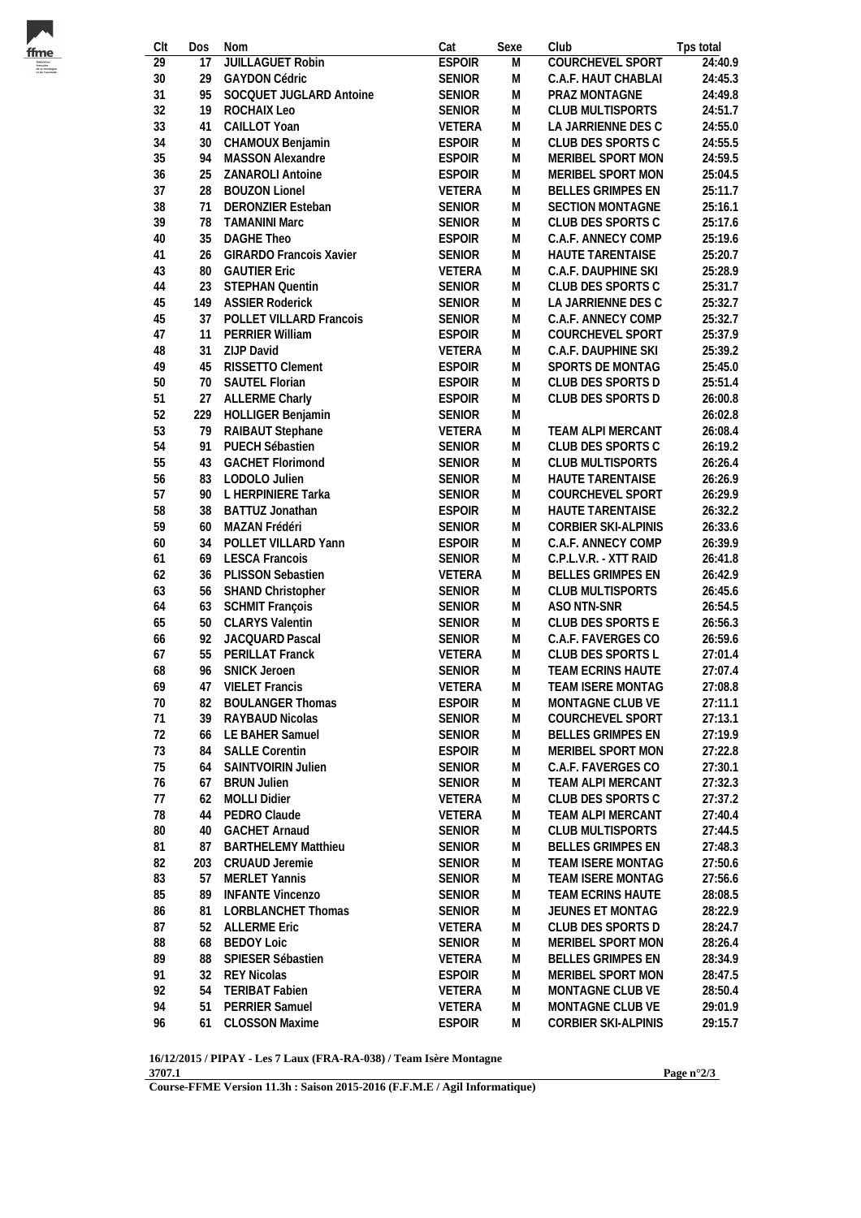

| CIt             | Dos | Nom                            | Cat           | Sexe | Club                     | Tps total |
|-----------------|-----|--------------------------------|---------------|------|--------------------------|-----------|
| $\overline{29}$ | 17  | JUILLAGUET Robin               | <b>ESPOIR</b> | M    | <b>COURCHEVEL SPORT</b>  | 24:40.9   |
| 30              | 29  | <b>GAYDON Cédric</b>           | <b>SENIOR</b> | M    | C.A.F. HAUT CHABLAI      | 24:45.3   |
| 31              | 95  | SOCQUET JUGLARD Antoine        | <b>SENIOR</b> | M    | PRAZ MONTAGNE            | 24:49.8   |
| 32              | 19  | ROCHAIX Leo                    | <b>SENIOR</b> | M    | <b>CLUB MULTISPORTS</b>  | 24:51.7   |
| 33              | 41  | CAILLOT Yoan                   | VETERA        | M    | LA JARRIENNE DES C       | 24:55.0   |
| 34              | 30  | CHAMOUX Benjamin               | <b>ESPOIR</b> | M    | CLUB DES SPORTS C        | 24:55.5   |
| 35              | 94  | MASSON Alexandre               | <b>ESPOIR</b> | M    | MERIBEL SPORT MON        | 24:59.5   |
| 36              | 25  | <b>ZANAROLI Antoine</b>        | <b>ESPOIR</b> | M    | MERIBEL SPORT MON        | 25:04.5   |
| 37              | 28  | <b>BOUZON Lionel</b>           | VETERA        | M    | BELLES GRIMPES EN        | 25:11.7   |
| 38              | 71  | DERONZIER Esteban              | <b>SENIOR</b> | M    | SECTION MONTAGNE         | 25:16.1   |
| 39              | 78  | <b>TAMANINI Marc</b>           | <b>SENIOR</b> | M    | CLUB DES SPORTS C        | 25:17.6   |
| 40              | 35  | <b>DAGHE Theo</b>              | <b>ESPOIR</b> | M    | C.A.F. ANNECY COMP       | 25:19.6   |
| 41              | 26  | <b>GIRARDO Francois Xavier</b> | SENIOR        | M    | <b>HAUTE TARENTAISE</b>  | 25:20.7   |
| 43              | 80  | <b>GAUTIER Eric</b>            | VETERA        | M    | C.A.F. DAUPHINE SKI      | 25:28.9   |
| 44              | 23  | STEPHAN Quentin                | <b>SENIOR</b> | M    | CLUB DES SPORTS C        | 25:31.7   |
| 45              | 149 | <b>ASSIER Roderick</b>         | <b>SENIOR</b> | M    | LA JARRIENNE DES C       | 25:32.7   |
| 45              | 37  | POLLET VILLARD Francois        | <b>SENIOR</b> | M    | C.A.F. ANNECY COMP       | 25:32.7   |
| 47              | 11  | <b>PERRIER William</b>         | <b>ESPOIR</b> | M    | COURCHEVEL SPORT         | 25:37.9   |
| 48              | 31  | ZIJP David                     | <b>VETERA</b> | M    | C.A.F. DAUPHINE SKI      | 25:39.2   |
| 49              | 45  | RISSETTO Clement               | <b>ESPOIR</b> | M    | SPORTS DE MONTAG         | 25:45.0   |
| 50              | 70  | SAUTEL Florian                 | <b>ESPOIR</b> | M    | CLUB DES SPORTS D        | 25:51.4   |
| 51              | 27  | <b>ALLERME Charly</b>          | <b>ESPOIR</b> | M    | CLUB DES SPORTS D        | 26:00.8   |
| 52              | 229 | <b>HOLLIGER Benjamin</b>       | <b>SENIOR</b> | M    |                          | 26:02.8   |
| 53              |     | 79 RAIBAUT Stephane            | VETERA        | M    | TEAM ALPI MERCANT        | 26:08.4   |
| 54              | 91  | PUECH Sébastien                | <b>SENIOR</b> | M    | CLUB DES SPORTS C        | 26:19.2   |
| 55              | 43  | <b>GACHET Florimond</b>        | <b>SENIOR</b> | M    | <b>CLUB MULTISPORTS</b>  | 26:26.4   |
| 56              | 83  | LODOLO Julien                  | SENIOR        | M    | HAUTE TARENTAISE         | 26:26.9   |
| 57              | 90  | L HERPINIERE Tarka             | <b>SENIOR</b> | M    | COURCHEVEL SPORT         | 26:29.9   |
| 58              | 38  | BATTUZ Jonathan                | <b>ESPOIR</b> | M    | HAUTE TARENTAISE         | 26:32.2   |
| 59              | 60  | MAZAN Frédéri                  | SENIOR        | M    | CORBIER SKI-ALPINIS      | 26:33.6   |
| 60              | 34  | POLLET VILLARD Yann            | <b>ESPOIR</b> | M    | C.A.F. ANNECY COMP       | 26:39.9   |
| 61              | 69  | <b>LESCA Francois</b>          | <b>SENIOR</b> | M    | C.P.L.V.R. - XTT RAID    | 26:41.8   |
| 62              | 36  | PLISSON Sebastien              | VETERA        | M    | <b>BELLES GRIMPES EN</b> | 26:42.9   |
| 63              | 56  | SHAND Christopher              | <b>SENIOR</b> | M    | <b>CLUB MULTISPORTS</b>  | 26:45.6   |
| 64              | 63  | <b>SCHMIT François</b>         | <b>SENIOR</b> | M    | ASO NTN-SNR              | 26:54.5   |
| 65              | 50  | <b>CLARYS Valentin</b>         | SENIOR        | M    | CLUB DES SPORTS E        | 26:56.3   |
| 66              | 92  | JACQUARD Pascal                | <b>SENIOR</b> | M    | C.A.F. FAVERGES CO       | 26:59.6   |
| 67              | 55  | PERILLAT Franck                | VETERA        | M    | CLUB DES SPORTS L        | 27:01.4   |
| 68              | 96  | SNICK Jeroen                   | <b>SENIOR</b> | M    | TEAM ECRINS HAUTE        | 27:07.4   |
| 69              |     | 47 VIELET Francis              | VETERA        | M    | <b>TEAM ISERE MONTAG</b> | 27:08.8   |
| 70              | 82  | <b>BOULANGER Thomas</b>        | <b>ESPOIR</b> | M    | MONTAGNE CLUB VE         | 27:11.1   |
| 71              | 39  | RAYBAUD Nicolas                | SENIOR        | M    | COURCHEVEL SPORT         | 27:13.1   |
| 72              | 66  | LE BAHER Samuel                | <b>SENIOR</b> | M    | BELLES GRIMPES EN        | 27:19.9   |
| 73              | 84  | <b>SALLE Corentin</b>          | <b>ESPOIR</b> | M    | MERIBEL SPORT MON        | 27:22.8   |
| 75              | 64  | <b>SAINTVOIRIN Julien</b>      | <b>SENIOR</b> | M    | C.A.F. FAVERGES CO       | 27:30.1   |
|                 |     | <b>BRUN Julien</b>             |               |      | TEAM ALPI MERCANT        | 27:32.3   |
| 76<br>77        | 67  |                                | <b>SENIOR</b> | M    | CLUB DES SPORTS C        |           |
|                 | 62  | <b>MOLLI Didier</b>            | VETERA        | M    |                          | 27:37.2   |
| 78              | 44  | PEDRO Claude                   | VETERA        | M    | TEAM ALPI MERCANT        | 27:40.4   |
| 80              | 40  | <b>GACHET Arnaud</b>           | <b>SENIOR</b> | M    | <b>CLUB MULTISPORTS</b>  | 27:44.5   |
| 81              | 87  | <b>BARTHELEMY Matthieu</b>     | <b>SENIOR</b> | M    | BELLES GRIMPES EN        | 27:48.3   |
| 82              | 203 | <b>CRUAUD Jeremie</b>          | <b>SENIOR</b> | M    | TEAM ISERE MONTAG        | 27:50.6   |
| 83              | 57  | <b>MERLET Yannis</b>           | <b>SENIOR</b> | M    | TEAM ISERE MONTAG        | 27:56.6   |
| 85              | 89  | <b>INFANTE Vincenzo</b>        | <b>SENIOR</b> | M    | TEAM ECRINS HAUTE        | 28:08.5   |
| 86              | 81  | LORBLANCHET Thomas             | <b>SENIOR</b> | M    | JEUNES ET MONTAG         | 28:22.9   |
| 87              | 52  | <b>ALLERME Eric</b>            | VETERA        | M    | CLUB DES SPORTS D        | 28:24.7   |
| 88              | 68  | <b>BEDOY Loic</b>              | <b>SENIOR</b> | M    | MERIBEL SPORT MON        | 28:26.4   |
| 89              | 88  | SPIESER Sébastien              | VETERA        | M    | <b>BELLES GRIMPES EN</b> | 28:34.9   |
| 91              | 32  | <b>REY Nicolas</b>             | <b>ESPOIR</b> | M    | MERIBEL SPORT MON        | 28:47.5   |
| 92              | 54  | <b>TERIBAT Fabien</b>          | VETERA        | M    | MONTAGNE CLUB VE         | 28:50.4   |
| 94              | 51  | PERRIER Samuel                 | VETERA        | M    | MONTAGNE CLUB VE         | 29:01.9   |
| 96              | 61  | <b>CLOSSON Maxime</b>          | <b>ESPOIR</b> | M    | CORBIER SKI-ALPINIS      | 29:15.7   |

**16/12/2015 / PIPAY - Les 7 Laux (FRA-RA-038) / Team Isère Montagne 3707.1**

**Page n°2/3**

**Course-FFME Version 11.3h : Saison 2015-2016 (F.F.M.E / Agil Informatique)**